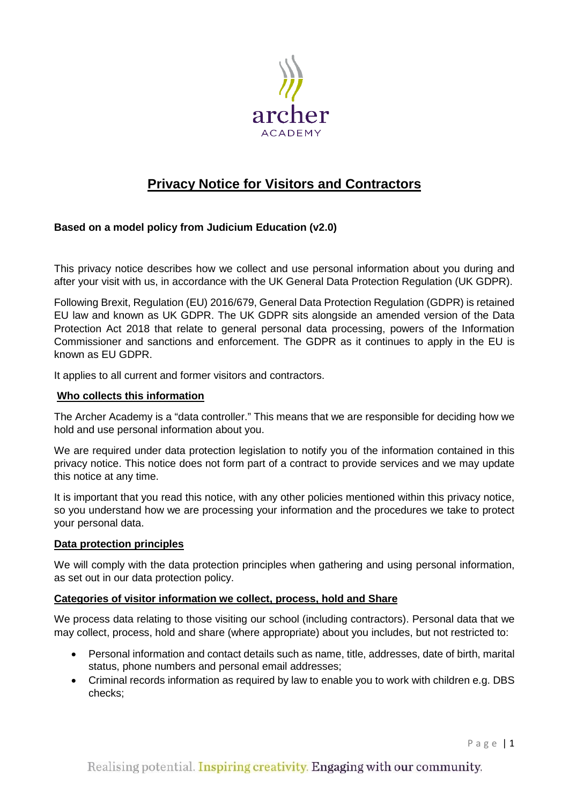

# **Privacy Notice for Visitors and Contractors**

## **Based on a model policy from Judicium Education (v2.0)**

This privacy notice describes how we collect and use personal information about you during and after your visit with us, in accordance with the UK General Data Protection Regulation (UK GDPR).

Following Brexit, Regulation (EU) 2016/679, General Data Protection Regulation (GDPR) is retained EU law and known as UK GDPR. The UK GDPR sits alongside an amended version of the Data Protection Act 2018 that relate to general personal data processing, powers of the Information Commissioner and sanctions and enforcement. The GDPR as it continues to apply in the EU is known as EU GDPR.

It applies to all current and former visitors and contractors.

#### **Who collects this information**

The Archer Academy is a "data controller." This means that we are responsible for deciding how we hold and use personal information about you.

We are required under data protection legislation to notify you of the information contained in this privacy notice. This notice does not form part of a contract to provide services and we may update this notice at any time.

It is important that you read this notice, with any other policies mentioned within this privacy notice, so you understand how we are processing your information and the procedures we take to protect your personal data.

### **Data protection principles**

We will comply with the data protection principles when gathering and using personal information, as set out in our data protection policy.

### **Categories of visitor information we collect, process, hold and Share**

We process data relating to those visiting our school (including contractors). Personal data that we may collect, process, hold and share (where appropriate) about you includes, but not restricted to:

- Personal information and contact details such as name, title, addresses, date of birth, marital status, phone numbers and personal email addresses;
- Criminal records information as required by law to enable you to work with children e.g. DBS checks;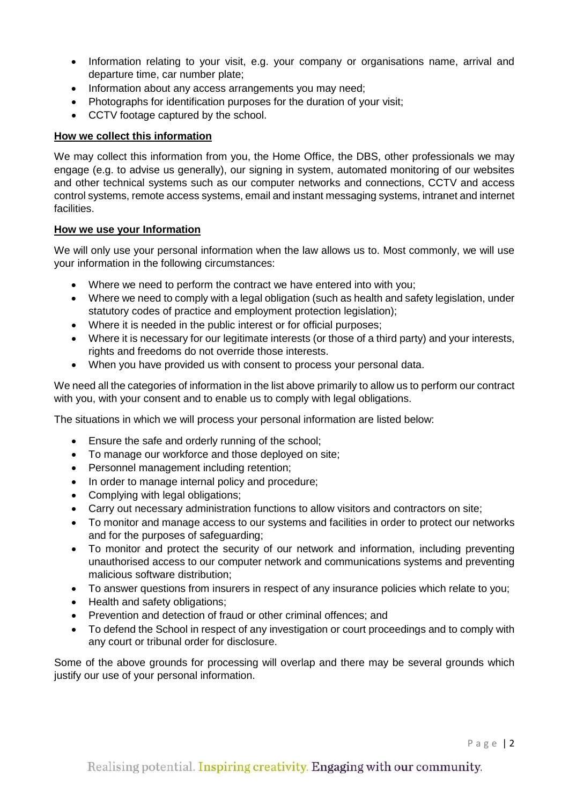- Information relating to your visit, e.g. your company or organisations name, arrival and departure time, car number plate;
- Information about any access arrangements you may need;
- Photographs for identification purposes for the duration of your visit;
- CCTV footage captured by the school.

## **How we collect this information**

We may collect this information from you, the Home Office, the DBS, other professionals we may engage (e.g. to advise us generally), our signing in system, automated monitoring of our websites and other technical systems such as our computer networks and connections, CCTV and access control systems, remote access systems, email and instant messaging systems, intranet and internet facilities.

## **How we use your Information**

We will only use your personal information when the law allows us to. Most commonly, we will use your information in the following circumstances:

- Where we need to perform the contract we have entered into with you;
- Where we need to comply with a legal obligation (such as health and safety legislation, under statutory codes of practice and employment protection legislation);
- Where it is needed in the public interest or for official purposes;
- Where it is necessary for our legitimate interests (or those of a third party) and your interests, rights and freedoms do not override those interests.
- When you have provided us with consent to process your personal data.

We need all the categories of information in the list above primarily to allow us to perform our contract with you, with your consent and to enable us to comply with legal obligations.

The situations in which we will process your personal information are listed below:

- Ensure the safe and orderly running of the school;
- To manage our workforce and those deployed on site;
- Personnel management including retention;
- In order to manage internal policy and procedure;
- Complying with legal obligations;
- Carry out necessary administration functions to allow visitors and contractors on site;
- To monitor and manage access to our systems and facilities in order to protect our networks and for the purposes of safeguarding;
- To monitor and protect the security of our network and information, including preventing unauthorised access to our computer network and communications systems and preventing malicious software distribution;
- To answer questions from insurers in respect of any insurance policies which relate to you;
- Health and safety obligations;
- Prevention and detection of fraud or other criminal offences; and
- To defend the School in respect of any investigation or court proceedings and to comply with any court or tribunal order for disclosure.

Some of the above grounds for processing will overlap and there may be several grounds which justify our use of your personal information.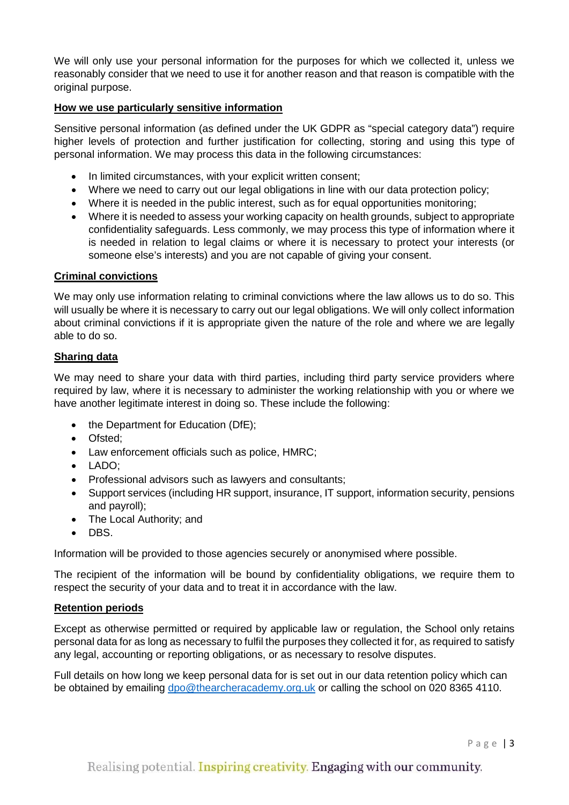We will only use your personal information for the purposes for which we collected it, unless we reasonably consider that we need to use it for another reason and that reason is compatible with the original purpose.

## **How we use particularly sensitive information**

Sensitive personal information (as defined under the UK GDPR as "special category data") require higher levels of protection and further justification for collecting, storing and using this type of personal information. We may process this data in the following circumstances:

- In limited circumstances, with your explicit written consent;
- Where we need to carry out our legal obligations in line with our data protection policy;
- Where it is needed in the public interest, such as for equal opportunities monitoring;
- Where it is needed to assess your working capacity on health grounds, subject to appropriate confidentiality safeguards. Less commonly, we may process this type of information where it is needed in relation to legal claims or where it is necessary to protect your interests (or someone else's interests) and you are not capable of giving your consent.

### **Criminal convictions**

We may only use information relating to criminal convictions where the law allows us to do so. This will usually be where it is necessary to carry out our legal obligations. We will only collect information about criminal convictions if it is appropriate given the nature of the role and where we are legally able to do so.

### **Sharing data**

We may need to share your data with third parties, including third party service providers where required by law, where it is necessary to administer the working relationship with you or where we have another legitimate interest in doing so. These include the following:

- the Department for Education (DfE);
- Ofsted;
- Law enforcement officials such as police, HMRC;
- LADO;
- Professional advisors such as lawyers and consultants;
- Support services (including HR support, insurance, IT support, information security, pensions and payroll);
- The Local Authority; and
- DBS.

Information will be provided to those agencies securely or anonymised where possible.

The recipient of the information will be bound by confidentiality obligations, we require them to respect the security of your data and to treat it in accordance with the law.

### **Retention periods**

Except as otherwise permitted or required by applicable law or regulation, the School only retains personal data for as long as necessary to fulfil the purposes they collected it for, as required to satisfy any legal, accounting or reporting obligations, or as necessary to resolve disputes.

Full details on how long we keep personal data for is set out in our data retention policy which can be obtained by emailing [dpo@thearcheracademy.org.uk](mailto:dpo@thearcheracademy.org.uk) or calling the school on 020 8365 4110.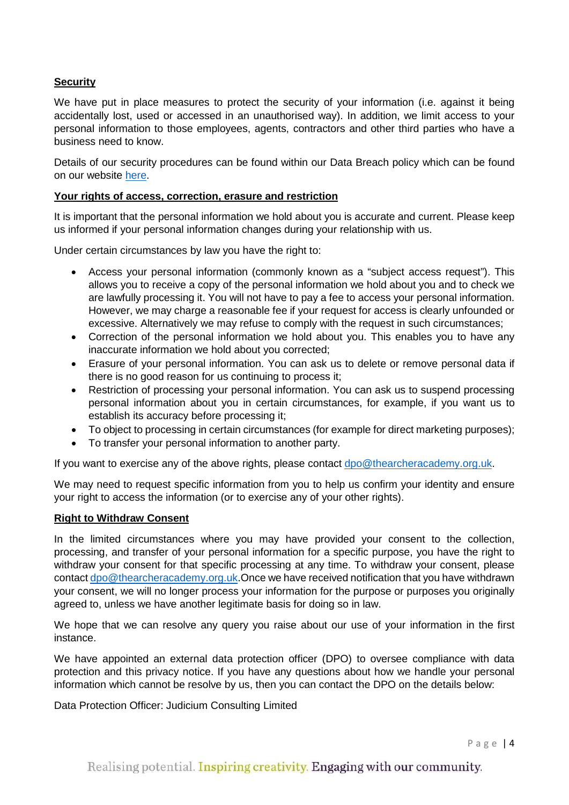## **Security**

We have put in place measures to protect the security of your information (i.e. against it being accidentally lost, used or accessed in an unauthorised way). In addition, we limit access to your personal information to those employees, agents, contractors and other third parties who have a business need to know.

Details of our security procedures can be found within our Data Breach policy which can be found on our website [here.](https://thearcheracademy.org.uk/data-protection/)

## **Your rights of access, correction, erasure and restriction**

It is important that the personal information we hold about you is accurate and current. Please keep us informed if your personal information changes during your relationship with us.

Under certain circumstances by law you have the right to:

- Access your personal information (commonly known as a "subject access request"). This allows you to receive a copy of the personal information we hold about you and to check we are lawfully processing it. You will not have to pay a fee to access your personal information. However, we may charge a reasonable fee if your request for access is clearly unfounded or excessive. Alternatively we may refuse to comply with the request in such circumstances;
- Correction of the personal information we hold about you. This enables you to have any inaccurate information we hold about you corrected;
- Erasure of your personal information. You can ask us to delete or remove personal data if there is no good reason for us continuing to process it;
- Restriction of processing your personal information. You can ask us to suspend processing personal information about you in certain circumstances, for example, if you want us to establish its accuracy before processing it;
- To object to processing in certain circumstances (for example for direct marketing purposes);
- To transfer your personal information to another party.

If you want to exercise any of the above rights, please contact [dpo@thearcheracademy.org.uk.](mailto:dpo@thearcheracademy.org.uk)

We may need to request specific information from you to help us confirm your identity and ensure your right to access the information (or to exercise any of your other rights).

### **Right to Withdraw Consent**

In the limited circumstances where you may have provided your consent to the collection, processing, and transfer of your personal information for a specific purpose, you have the right to withdraw your consent for that specific processing at any time. To withdraw your consent, please contact [dpo@thearcheracademy.org.uk.](mailto:dpo@thearcheracademy.org.uk)Once we have received notification that you have withdrawn your consent, we will no longer process your information for the purpose or purposes you originally agreed to, unless we have another legitimate basis for doing so in law.

We hope that we can resolve any query you raise about our use of your information in the first instance.

We have appointed an external data protection officer (DPO) to oversee compliance with data protection and this privacy notice. If you have any questions about how we handle your personal information which cannot be resolve by us, then you can contact the DPO on the details below:

Data Protection Officer: Judicium Consulting Limited